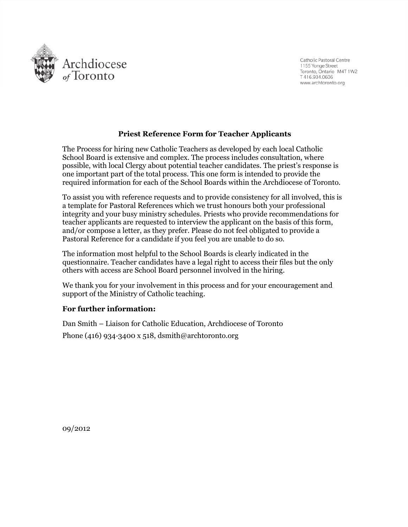

Catholic Pastoral Centre 1155 Yonge Street Toronto, Ontario M4T 1W2 T416.934.0606 www.archtoronto.org

### **Priest Reference Form for Teacher Applicants**

The Process for hiring new Catholic Teachers as developed by each local Catholic School Board is extensive and complex. The process includes consultation, where possible, with local Clergy about potential teacher candidates. The priest's response is one important part of the total process. This one form is intended to provide the required information for each of the School Boards within the Archdiocese of Toronto.

To assist you with reference requests and to provide consistency for all involved, this is a template for Pastoral References which we trust honours both your professional integrity and your busy ministry schedules. Priests who provide recommendations for teacher applicants are requested to interview the applicant on the basis of this form, and/or compose a letter, as they prefer. Please do not feel obligated to provide a Pastoral Reference for a candidate if you feel you are unable to do so.

The information most helpful to the School Boards is clearly indicated in the questionnaire. Teacher candidates have a legal right to access their files but the only others with access are School Board personnel involved in the hiring.

We thank you for your involvement in this process and for your encouragement and support of the Ministry of Catholic teaching.

#### **For further information:**

Dan Smith – Liaison for Catholic Education, Archdiocese of Toronto Phone (416) 934‐3400 x 518, dsmith@archtoronto.org

09/2012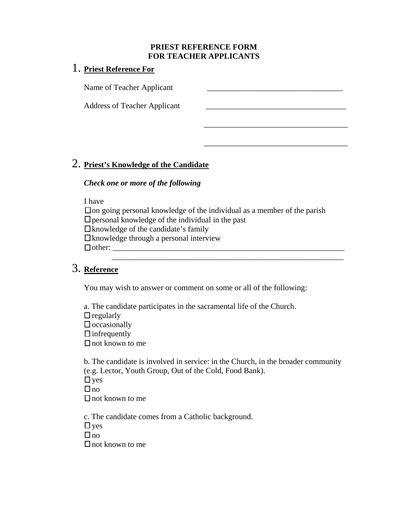### **PRIEST REFERENCE FORM FOR TEACHER APPLICANTS**

\_\_\_\_\_\_\_\_\_\_\_\_\_\_\_\_\_\_\_\_\_\_\_\_\_\_\_\_\_\_\_\_\_\_\_\_

\_\_\_\_\_\_\_\_\_\_\_\_\_\_\_\_\_\_\_\_\_\_\_\_\_\_\_\_\_\_\_\_\_\_\_\_

### 1. **Priest Reference For**

Name of Teacher Applicant  $\Box$ 

Address of Teacher Applicant  $\Box$ 

## 2. **Priest's Knowledge of the Candidate**

### *Check one or more of the following*

I have

 $\Box$  on going personal knowledge of the individual as a member of the parish  $\Box$  personal knowledge of the individual in the past  $\Box$  knowledge of the candidate's family  $\Box$  knowledge through a personal interview other: \_\_\_\_\_\_\_\_\_\_\_\_\_\_\_\_\_\_\_\_\_\_\_\_\_\_\_\_\_\_\_\_\_\_\_\_\_\_\_\_\_\_\_\_\_\_\_\_\_\_\_\_\_\_\_\_\_\_ \_\_\_\_\_\_\_\_\_\_\_\_\_\_\_\_\_\_\_\_\_\_\_\_\_\_\_\_\_\_\_\_\_\_\_\_\_\_\_\_\_\_\_\_\_\_\_\_\_\_\_\_\_\_\_\_\_\_

# 3. **Reference**

You may wish to answer or comment on some or all of the following:

a. The candidate participates in the sacramental life of the Church.

 $\Box$  regularly

 $\Box$  occasionally

 $\Box$  infrequently

 $\Box$  not known to me

b. The candidate is involved in service: in the Church, in the broader community (e.g. Lector, Youth Group, Out of the Cold, Food Bank).

 $\Box$  yes

 $\Box$  no

 $\Box$  not known to me

c. The candidate comes from a Catholic background.

 $\Box$  yes

 $\Box$  no

 $\Box$  not known to me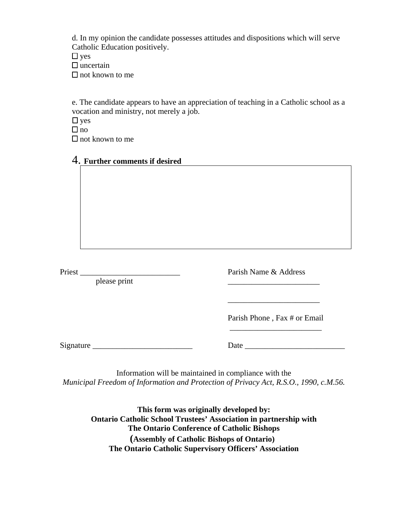d. In my opinion the candidate possesses attitudes and dispositions which will serve Catholic Education positively.

 $\Box$  yes  $\square$  uncertain

 $\Box$  not known to me

e. The candidate appears to have an appreciation of teaching in a Catholic school as a vocation and ministry, not merely a job.

 $\Box$  yes

 $\Box$  no

 $\Box$  not known to me

### 4. **Further comments if desired**

please print

Priest \_\_\_\_\_\_\_\_\_\_\_\_\_\_\_\_\_\_\_\_\_\_\_\_\_ Parish Name & Address

Parish Phone , Fax # or Email

Signature **Example 2** Date **Date Date Date Date Date Date D** 

Information will be maintained in compliance with the *Municipal Freedom of Information and Protection of Privacy Act, R.S.O., 1990, c.M.56.* 

 $\overline{\phantom{a}}$  , and the contract of the contract of the contract of the contract of the contract of the contract of the contract of the contract of the contract of the contract of the contract of the contract of the contrac

 $\overline{\phantom{a}}$  , which is a set of the set of the set of the set of the set of the set of the set of the set of the set of the set of the set of the set of the set of the set of the set of the set of the set of the set of th

**This form was originally developed by: Ontario Catholic School Trustees' Association in partnership with The Ontario Conference of Catholic Bishops [\(Assembly of Catholic Bishops of Ontario](http://www.acbo.on.ca/)) The Ontario Catholic Supervisory Officers' Association**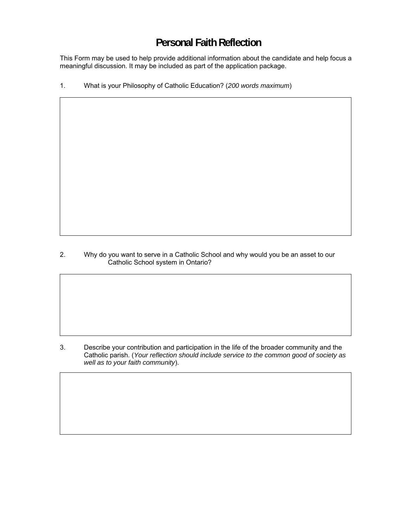# **Personal Faith Reflection**

This Form may be used to help provide additional information about the candidate and help focus a meaningful discussion. It may be included as part of the application package.

1. What is your Philosophy of Catholic Education? (*200 words maximum*)

2. Why do you want to serve in a Catholic School and why would you be an asset to our Catholic School system in Ontario?

3. Describe your contribution and participation in the life of the broader community and the Catholic parish. (*Your reflection should include service to the common good of society as well as to your faith community*).